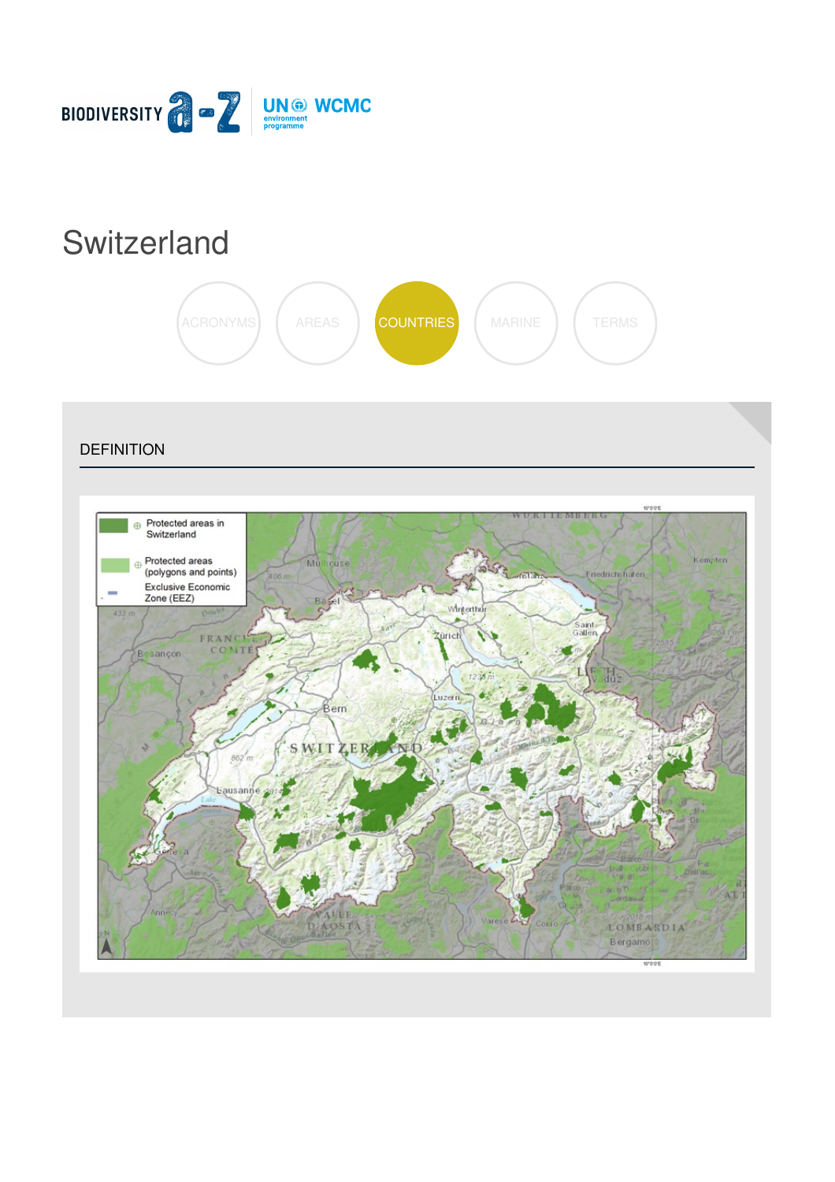

# **[Switzerland](https://biodiversitya-z.org/content/switzerland)**



**DEFINITION** 

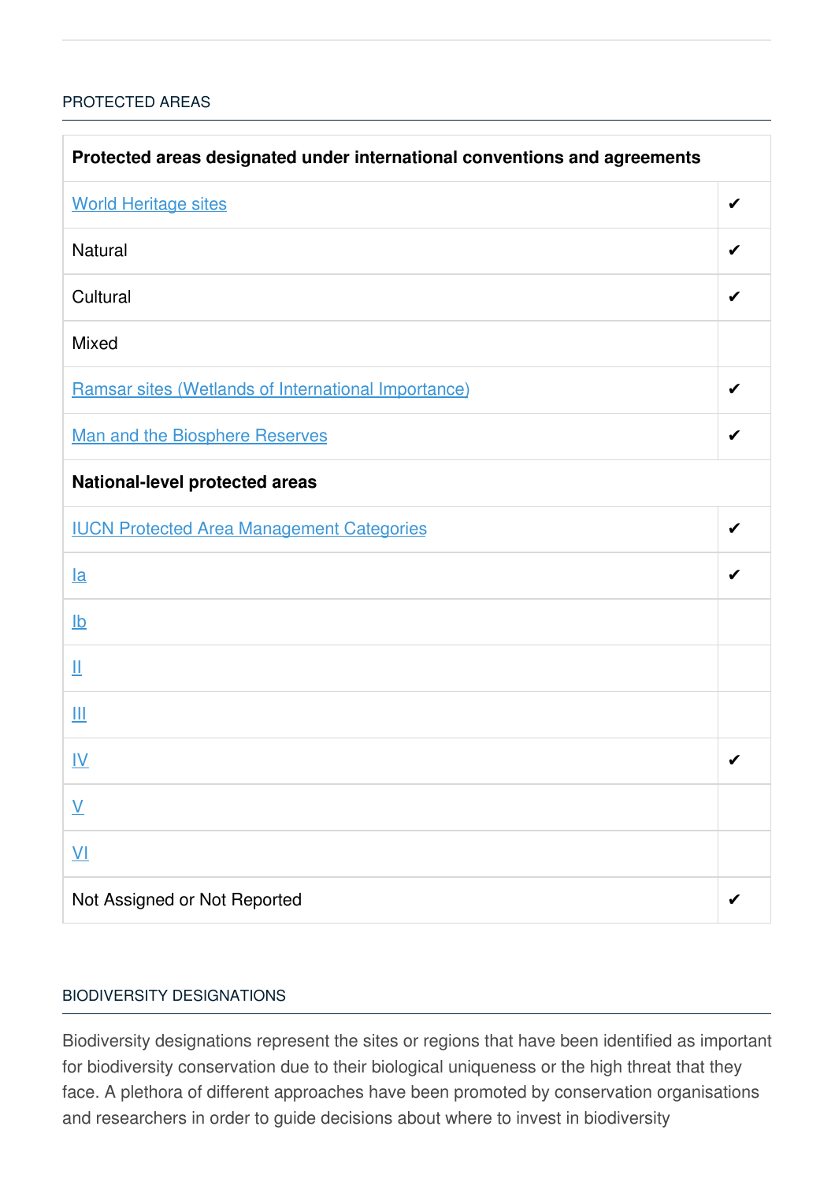#### [PROTECTED](javascript:void(0)) AREAS

| Protected areas designated under international conventions and agreements |   |  |
|---------------------------------------------------------------------------|---|--|
| <b>World Heritage sites</b>                                               | ✔ |  |
| <b>Natural</b>                                                            | ✔ |  |
| Cultural                                                                  |   |  |
| <b>Mixed</b>                                                              |   |  |
| Ramsar sites (Wetlands of International Importance)                       | ✔ |  |
| Man and the Biosphere Reserves                                            | ✔ |  |
| <b>National-level protected areas</b>                                     |   |  |
| <b>IUCN Protected Area Management Categories</b>                          | ✔ |  |
| $l$ a                                                                     |   |  |
| $\underline{\mathsf{lb}}$                                                 |   |  |
| Щ                                                                         |   |  |
| Ш                                                                         |   |  |
| <u>IV</u>                                                                 | ✔ |  |
| $\underline{\mathsf{V}}$                                                  |   |  |
| $\underline{\mathsf{V}}$                                                  |   |  |
| Not Assigned or Not Reported                                              |   |  |

#### BIODIVERSITY [DESIGNATIONS](javascript:void(0))

Biodiversity designations represent the sites or regions that have been identified as important for biodiversity conservation due to their biological uniqueness or the high threat that they face. A plethora of different approaches have been promoted by conservation organisations and researchers in order to guide decisions about where to invest in biodiversity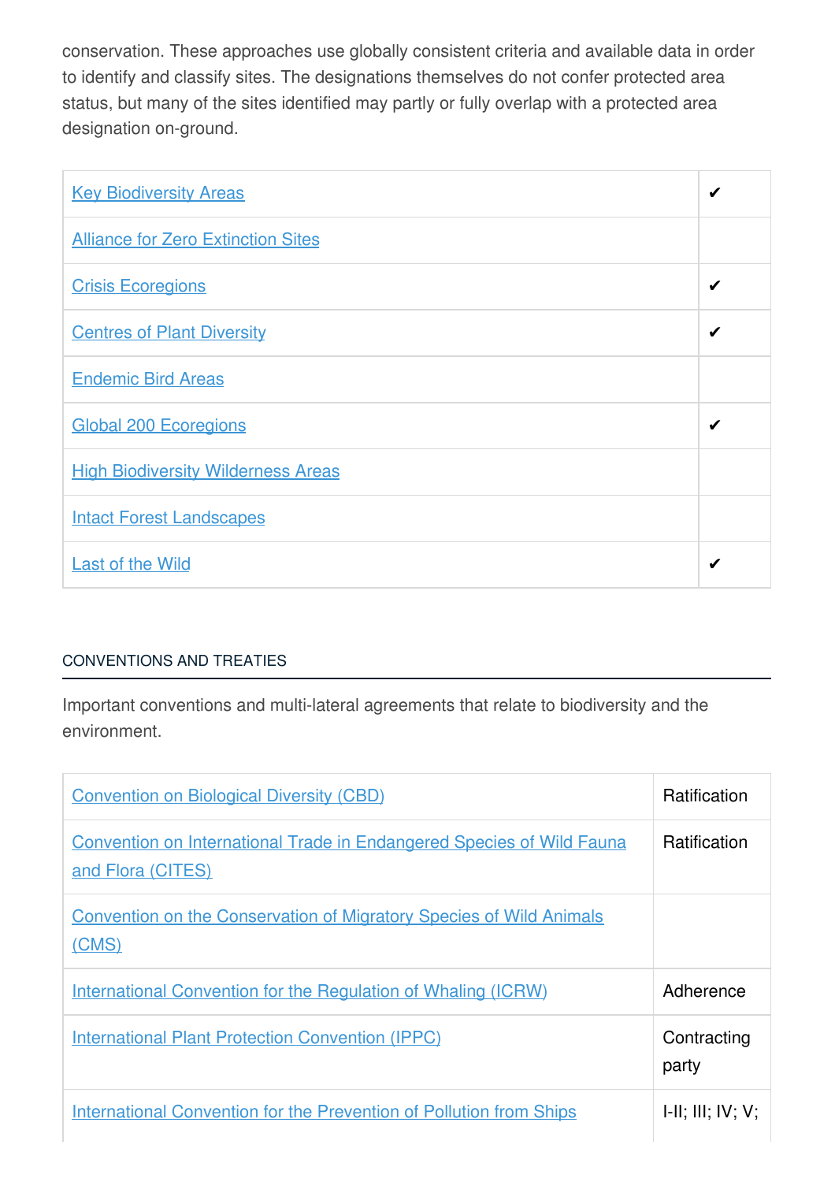conservation. These approaches use globally consistent criteria and available data in order to identify and classify sites. The designations themselves do not confer protected area status, but many of the sites identified may partly or fully overlap with a protected area designation on-ground.

| <b>Key Biodiversity Areas</b>             | ✔ |
|-------------------------------------------|---|
| <b>Alliance for Zero Extinction Sites</b> |   |
| <b>Crisis Ecoregions</b>                  | ✔ |
| <b>Centres of Plant Diversity</b>         | ✔ |
| <b>Endemic Bird Areas</b>                 |   |
| <b>Global 200 Ecoregions</b>              |   |
| <b>High Biodiversity Wilderness Areas</b> |   |
| <b>Intact Forest Landscapes</b>           |   |
| <b>Last of the Wild</b>                   | ✔ |

## [CONVENTIONS](javascript:void(0)) AND TREATIES

Important conventions and multi-lateral agreements that relate to biodiversity and the environment.

| <b>Convention on Biological Diversity (CBD)</b>                                                   | <b>Ratification</b>  |
|---------------------------------------------------------------------------------------------------|----------------------|
| <b>Convention on International Trade in Endangered Species of Wild Fauna</b><br>and Flora (CITES) | <b>Ratification</b>  |
| <b>Convention on the Conservation of Migratory Species of Wild Animals</b><br>(CMS)               |                      |
| <b>International Convention for the Regulation of Whaling (ICRW)</b>                              | Adherence            |
| <b>International Plant Protection Convention (IPPC)</b>                                           | Contracting<br>party |
| <b>International Convention for the Prevention of Pollution from Ships</b>                        | H: III; IV; V;       |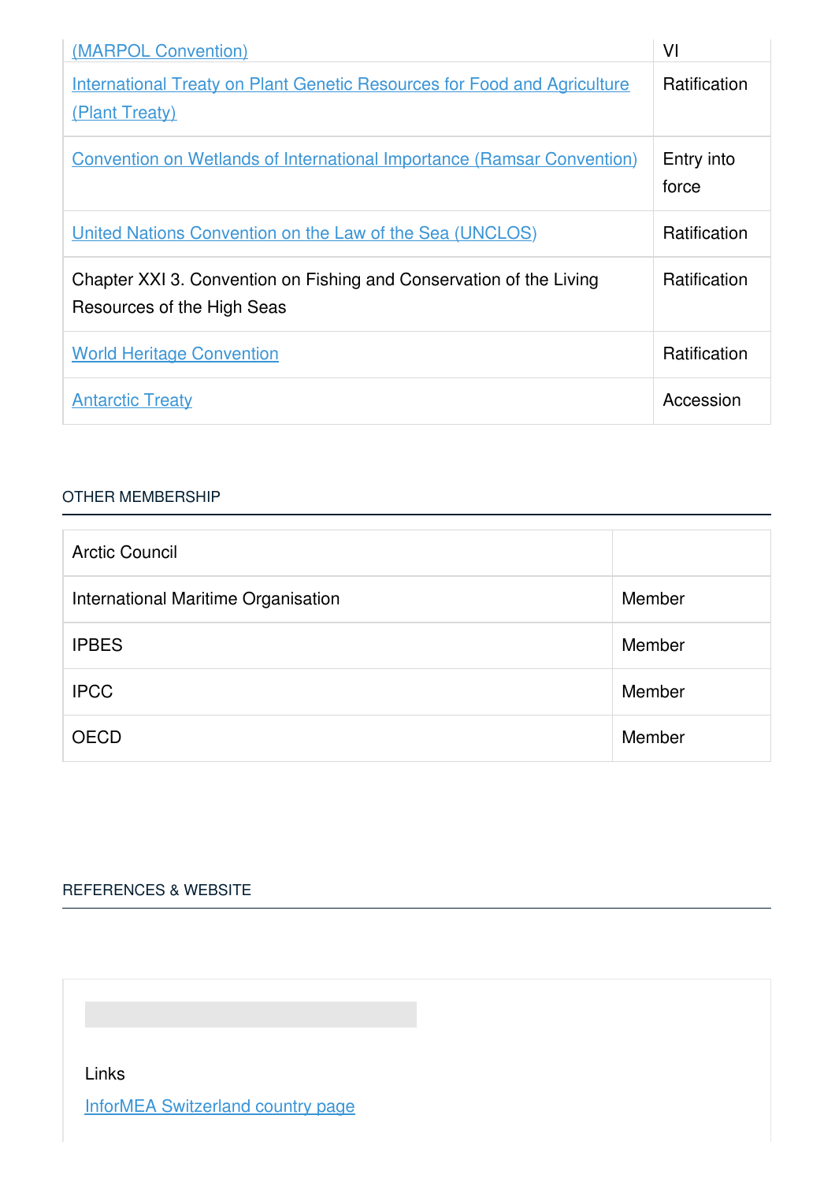| (MARPOL Convention)                                                                               | VI                  |
|---------------------------------------------------------------------------------------------------|---------------------|
| <b>International Treaty on Plant Genetic Resources for Food and Agriculture</b><br>(Plant Treaty) | Ratification        |
| <b>Convention on Wetlands of International Importance (Ramsar Convention)</b>                     | Entry into<br>force |
| United Nations Convention on the Law of the Sea (UNCLOS)                                          | <b>Ratification</b> |
| Chapter XXI 3. Convention on Fishing and Conservation of the Living<br>Resources of the High Seas | Ratification        |
| <b>World Heritage Convention</b>                                                                  | <b>Ratification</b> |
| <b>Antarctic Treaty</b>                                                                           | Accession           |

#### OTHER [MEMBERSHIP](javascript:void(0))

| <b>Arctic Council</b>               |        |
|-------------------------------------|--------|
| International Maritime Organisation | Member |
| <b>IPBES</b>                        | Member |
| <b>IPCC</b>                         | Member |
| <b>OECD</b>                         | Member |

## [REFERENCES](javascript:void(0)) & WEBSITE

Links

InforMEA [Switzerland](https://www.informea.org/countries/CH) country page